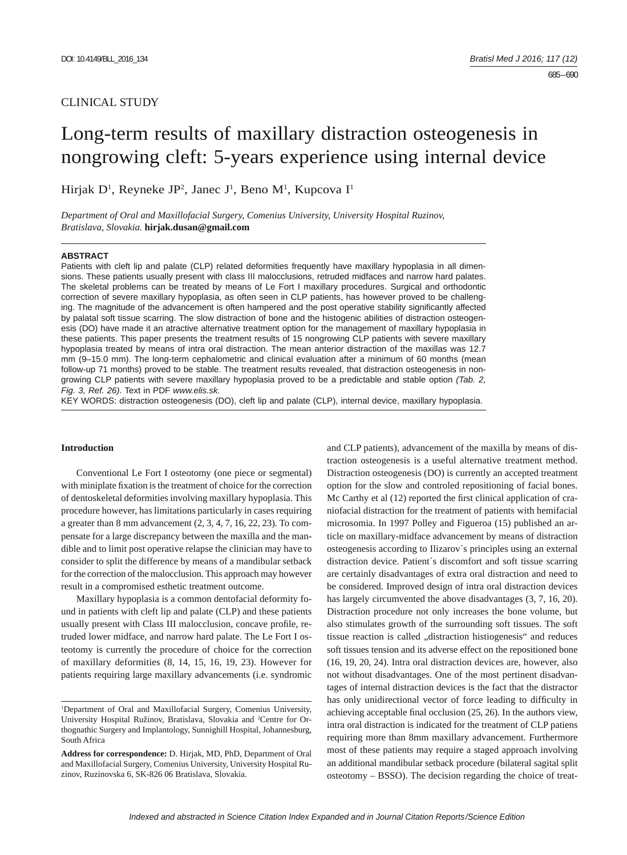# CLINICAL STUDY

# Long-term results of maxillary distraction osteogenesis in nongrowing cleft: 5-years experience using internal device

Hirjak D<sup>1</sup>, Reyneke JP<sup>2</sup>, Janec J<sup>1</sup>, Beno M<sup>1</sup>, Kupcova I<sup>1</sup>

*Department of Oral and Maxillofacial Surgery, Comenius University, University Hospital Ruzinov, Bratislava, Slovakia.* **hirjak.dusan@gmail.com**

#### **ABSTRACT**

Patients with cleft lip and palate (CLP) related deformities frequently have maxillary hypoplasia in all dimensions. These patients usually present with class III malocclusions, retruded midfaces and narrow hard palates. The skeletal problems can be treated by means of Le Fort I maxillary procedures. Surgical and orthodontic correction of severe maxillary hypoplasia, as often seen in CLP patients, has however proved to be challenging. The magnitude of the advancement is often hampered and the post operative stability significantly affected by palatal soft tissue scarring. The slow distraction of bone and the histogenic abilities of distraction osteogenesis (DO) have made it an atractive alternative treatment option for the management of maxillary hypoplasia in these patients. This paper presents the treatment results of 15 nongrowing CLP patients with severe maxillary hypoplasia treated by means of intra oral distraction. The mean anterior distraction of the maxillas was 12.7 mm (9–15.0 mm). The long-term cephalometric and clinical evaluation after a minimum of 60 months (mean follow-up 71 months) proved to be stable. The treatment results revealed, that distraction osteogenesis in nongrowing CLP patients with severe maxillary hypoplasia proved to be a predictable and stable option *(Tab. 2, Fig. 3, Ref. 26)*. Text in PDF *www.elis.sk.*

KEY WORDS: distraction osteogenesis (DO), cleft lip and palate (CLP), internal device, maxillary hypoplasia.

## **Introduction**

Conventional Le Fort I osteotomy (one piece or segmental) with miniplate fixation is the treatment of choice for the correction of dentoskeletal deformities involving maxillary hypoplasia. This procedure however, has limitations particularly in cases requiring a greater than 8 mm advancement (2, 3, 4, 7, 16, 22, 23). To compensate for a large discrepancy between the maxilla and the mandible and to limit post operative relapse the clinician may have to consider to split the difference by means of a mandibular setback for the correction of the malocclusion. This approach may however result in a compromised esthetic treatment outcome.

Maxillary hypoplasia is a common dentofacial deformity found in patients with cleft lip and palate (CLP) and these patients usually present with Class III malocclusion, concave profile, retruded lower midface, and narrow hard palate. The Le Fort I osteotomy is currently the procedure of choice for the correction of maxillary deformities (8, 14, 15, 16, 19, 23). However for patients requiring large maxillary advancements (i.e. syndromic

and CLP patients), advancement of the maxilla by means of distraction osteogenesis is a useful alternative treatment method. Distraction osteogenesis (DO) is currently an accepted treatment option for the slow and controled repositioning of facial bones. Mc Carthy et al  $(12)$  reported the first clinical application of craniofacial distraction for the treatment of patients with hemifacial microsomia. In 1997 Polley and Figueroa (15) published an article on maxillary-midface advancement by means of distraction osteogenesis according to Ilizarov´s principles using an external distraction device. Patient´s discomfort and soft tissue scarring are certainly disadvantages of extra oral distraction and need to be considered. Improved design of intra oral distraction devices has largely circumvented the above disadvantages (3, 7, 16, 20). Distraction procedure not only increases the bone volume, but also stimulates growth of the surrounding soft tissues. The soft tissue reaction is called "distraction histiogenesis" and reduces soft tissues tension and its adverse effect on the repositioned bone (16, 19, 20, 24). Intra oral distraction devices are, however, also not without disadvantages. One of the most pertinent disadvantages of internal distraction devices is the fact that the distractor has only unidirectional vector of force leading to difficulty in achieving acceptable final occlusion  $(25, 26)$ . In the authors view, intra oral distraction is indicated for the treatment of CLP patiens requiring more than 8mm maxillary advancement. Furthermore most of these patients may require a staged approach involving an additional mandibular setback procedure (bilateral sagital split osteotomy – BSSO). The decision regarding the choice of treat-

<sup>1</sup> Department of Oral and Maxillofacial Surgery, Comenius University, University Hospital Ružinov, Bratislava, Slovakia and 2 Centre for Orthognathic Surgery and Implantology, Sunnighill Hospital, Johannesburg, South Africa

**Address for correspondence:** D. Hirjak, MD, PhD, Department of Oral and Maxillofacial Surgery, Comenius University, University Hospital Ruzinov, Ruzinovska 6, SK-826 06 Bratislava, Slovakia.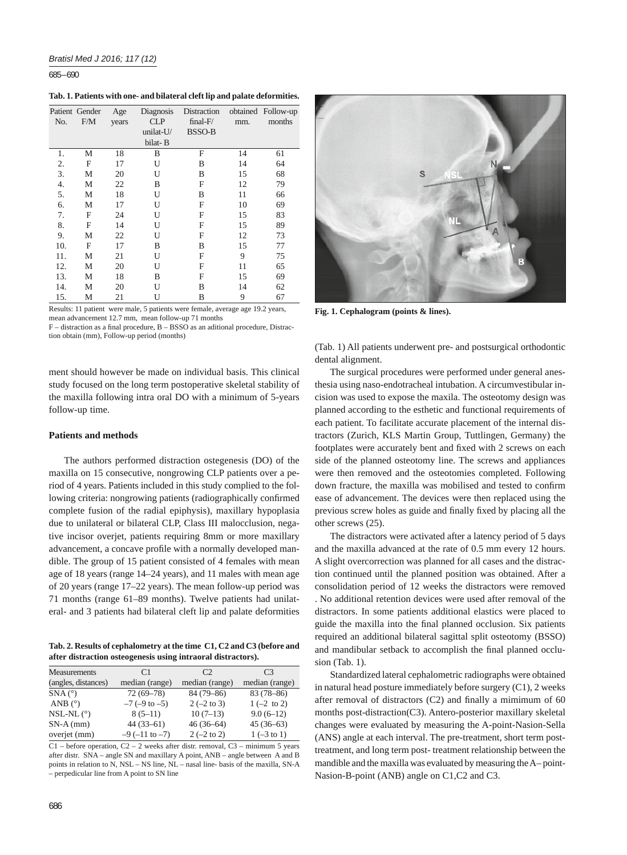685 – 690

**Tab. 1. Patients with one- and bilateral cleft lip and palate deformities.**

|     | Patient Gender | Age   | Diagnosis | Distraction   |     | obtained Follow-up |
|-----|----------------|-------|-----------|---------------|-----|--------------------|
| No. | F/M            | years | CLP       | $final-F/$    | mm. | months             |
|     |                |       | unilat-U/ | <b>BSSO-B</b> |     |                    |
|     |                |       | bilat-B   |               |     |                    |
| 1.  | М              | 18    | B         | F             | 14  | 61                 |
| 2.  | F              | 17    | U         | В             | 14  | 64                 |
| 3.  | М              | 20    | U         | B             | 15  | 68                 |
| 4.  | М              | 22    | B         | F             | 12  | 79                 |
| 5.  | М              | 18    | U         | B             | 11  | 66                 |
| 6.  | М              | 17    | U         | F             | 10  | 69                 |
| 7.  | F              | 24    | U         | F             | 15  | 83                 |
| 8.  | F              | 14    | U         | F             | 15  | 89                 |
| 9.  | М              | 22    | U         | F             | 12  | 73                 |
| 10. | F              | 17    | B         | B             | 15  | 77                 |
| 11. | М              | 21    | U         | F             | 9   | 75                 |
| 12. | М              | 20    | U         | F             | 11  | 65                 |
| 13. | М              | 18    | B         | F             | 15  | 69                 |
| 14. | М              | 20    | U         | B             | 14  | 62                 |
| 15. | М              | 21    | U         | B             | 9   | 67                 |

Results: 11 patient were male, 5 patients were female, average age 19.2 years, mean advancement 12.7 mm, mean follow-up 71 months

 $F -$  distraction as a final procedure,  $B - BSSO$  as an aditional procedure, Distraction obtain (mm), Follow-up period (months)

ment should however be made on individual basis. This clinical study focused on the long term postoperative skeletal stability of the maxilla following intra oral DO with a minimum of 5-years follow-up time.

## **Patients and methods**

The authors performed distraction ostegenesis (DO) of the maxilla on 15 consecutive, nongrowing CLP patients over a period of 4 years. Patients included in this study complied to the following criteria: nongrowing patients (radiographically confirmed complete fusion of the radial epiphysis), maxillary hypoplasia due to unilateral or bilateral CLP, Class III malocclusion, negative incisor overjet, patients requiring 8mm or more maxillary advancement, a concave profile with a normally developed mandible. The group of 15 patient consisted of 4 females with mean age of 18 years (range 14–24 years), and 11 males with mean age of 20 years (range 17–22 years). The mean follow-up period was 71 months (range 61–89 months). Twelve patients had unilateral- and 3 patients had bilateral cleft lip and palate deformities

**Tab. 2. Results of cephalometry at the time C1, C2 and C3 (before and after distraction osteogenesis using intraoral distractors).**

| <b>Measurements</b>    | C <sub>1</sub>         | C <sub>2</sub>        | C <sub>3</sub>        |
|------------------------|------------------------|-----------------------|-----------------------|
| (angles, distances)    | median (range)         | median (range)        | median (range)        |
| $SNA(^{\circ})$        | $72(69 - 78)$          | 84 (79-86)            | $83(78-86)$           |
| ANB $(^{\circ})$       | $-7$ ( $-9$ to $-5$ )  | $2(-2 \text{ to } 3)$ | $1(-2 \text{ to } 2)$ |
| $NSL-NL$ ( $\degree$ ) | $8(5-11)$              | $10(7-13)$            | $9.0(6-12)$           |
| $SN-A$ (mm)            | $44(33-61)$            | $46(36-64)$           | $45(36-63)$           |
| overjet (mm)           | $-9$ ( $-11$ to $-7$ ) | $2(-2 \text{ to } 2)$ | $1(-3 \text{ to } 1)$ |
|                        |                        |                       |                       |

 $C1$  – before operation,  $C2 - 2$  weeks after distr. removal,  $C3$  – minimum 5 years after distr. SNA – angle SN and maxillary A point, ANB – angle between A and B points in relation to N, NSL – NS line, NL – nasal line- basis of the maxilla, SN-A – perpedicular line from A point to SN line



**Fig. 1. Cephalogram (points & lines).**

(Tab. 1) All patients underwent pre- and postsurgical orthodontic dental alignment.

The surgical procedures were performed under general anesthesia using naso-endotracheal intubation. A circumvestibular incision was used to expose the maxila. The osteotomy design was planned according to the esthetic and functional requirements of each patient. To facilitate accurate placement of the internal distractors (Zurich, KLS Martin Group, Tuttlingen, Germany) the footplates were accurately bent and fixed with 2 screws on each side of the planned osteotomy line. The screws and appliances were then removed and the osteotomies completed. Following down fracture, the maxilla was mobilised and tested to confirm ease of advancement. The devices were then replaced using the previous screw holes as guide and finally fixed by placing all the other screws (25).

The distractors were activated after a latency period of 5 days and the maxilla advanced at the rate of 0.5 mm every 12 hours. A slight overcorrection was planned for all cases and the distraction continued until the planned position was obtained. After a consolidation period of 12 weeks the distractors were removed . No additional retention devices were used after removal of the distractors. In some patients additional elastics were placed to guide the maxilla into the final planned occlusion. Six patients required an additional bilateral sagittal split osteotomy (BSSO) and mandibular setback to accomplish the final planned occlusion (Tab. 1).

Standardized lateral cephalometric radiographs were obtained in natural head posture immediately before surgery (C1), 2 weeks after removal of distractors  $(C2)$  and finally a mimimum of 60 months post-distraction(C3). Antero-posterior maxillary skeletal changes were evaluated by measuring the A-point-Nasion-Sella (ANS) angle at each interval. The pre-treatment, short term posttreatment, and long term post- treatment relationship between the mandible and the maxilla was evaluated by measuring the A– point-Nasion-B-point (ANB) angle on C1,C2 and C3.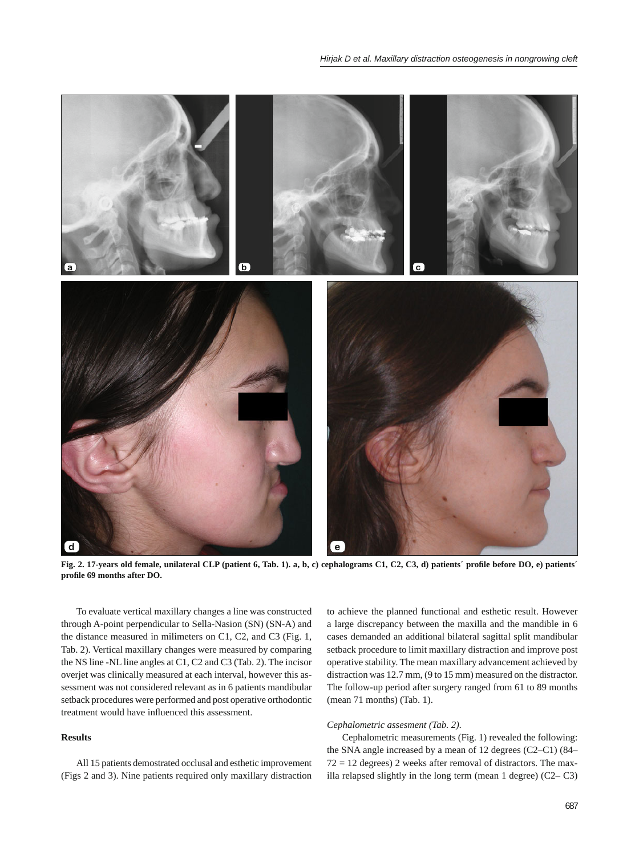

**Fig. 2. 17-years old female, unilateral CLP (patient 6, Tab. 1). a, b, c) cephalograms C1, C2, C3, d) patients´ profi le before DO, e) patients´ profi le 69 months after DO.**

To evaluate vertical maxillary changes a line was constructed through A-point perpendicular to Sella-Nasion (SN) (SN-A) and the distance measured in milimeters on C1, C2, and C3 (Fig. 1, Tab. 2). Vertical maxillary changes were measured by comparing the NS line -NL line angles at C1, C2 and C3 (Tab. 2). The incisor overjet was clinically measured at each interval, however this assessment was not considered relevant as in 6 patients mandibular setback procedures were performed and post operative orthodontic treatment would have influenced this assessment.

# **Results**

All 15 patients demostrated occlusal and esthetic improvement (Figs 2 and 3). Nine patients required only maxillary distraction to achieve the planned functional and esthetic result. However a large discrepancy between the maxilla and the mandible in 6 cases demanded an additional bilateral sagittal split mandibular setback procedure to limit maxillary distraction and improve post operative stability. The mean maxillary advancement achieved by distraction was 12.7 mm, (9 to 15 mm) measured on the distractor. The follow-up period after surgery ranged from 61 to 89 months (mean 71 months) (Tab. 1).

### *Cephalometric assesment (Tab. 2).*

Cephalometric measurements (Fig. 1) revealed the following: the SNA angle increased by a mean of 12 degrees (C2–C1) (84–  $72 = 12$  degrees) 2 weeks after removal of distractors. The maxilla relapsed slightly in the long term (mean 1 degree) (C2– C3)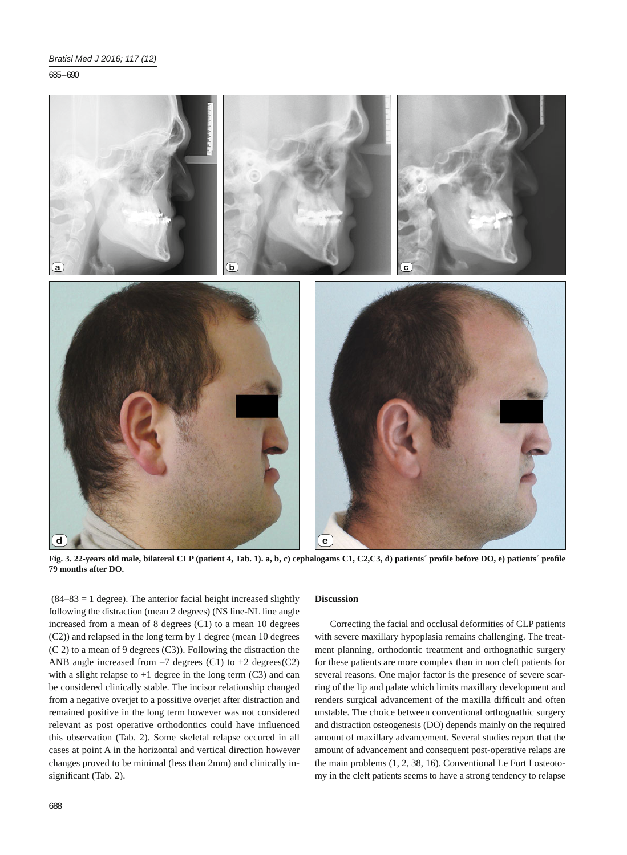685 – 690



**Fig. 3. 22-years old male, bilateral CLP (patient 4, Tab. 1). a, b, c) cephalogams C1, C2,C3, d) patients´ profi le before DO, e) patients´ profi le 79 months after DO.**

 $(84–83 = 1$  degree). The anterior facial height increased slightly following the distraction (mean 2 degrees) (NS line-NL line angle increased from a mean of 8 degrees (C1) to a mean 10 degrees (C2)) and relapsed in the long term by 1 degree (mean 10 degrees (C 2) to a mean of 9 degrees (C3)). Following the distraction the ANB angle increased from  $-7$  degrees (C1) to  $+2$  degrees (C2) with a slight relapse to  $+1$  degree in the long term  $(C3)$  and can be considered clinically stable. The incisor relationship changed from a negative overjet to a possitive overjet after distraction and remained positive in the long term however was not considered relevant as post operative orthodontics could have influenced this observation (Tab. 2). Some skeletal relapse occured in all cases at point A in the horizontal and vertical direction however changes proved to be minimal (less than 2mm) and clinically insignificant (Tab. 2).

# **Discussion**

Correcting the facial and occlusal deformities of CLP patients with severe maxillary hypoplasia remains challenging. The treatment planning, orthodontic treatment and orthognathic surgery for these patients are more complex than in non cleft patients for several reasons. One major factor is the presence of severe scarring of the lip and palate which limits maxillary development and renders surgical advancement of the maxilla difficult and often unstable. The choice between conventional orthognathic surgery and distraction osteogenesis (DO) depends mainly on the required amount of maxillary advancement. Several studies report that the amount of advancement and consequent post-operative relaps are the main problems (1, 2, 38, 16). Conventional Le Fort I osteotomy in the cleft patients seems to have a strong tendency to relapse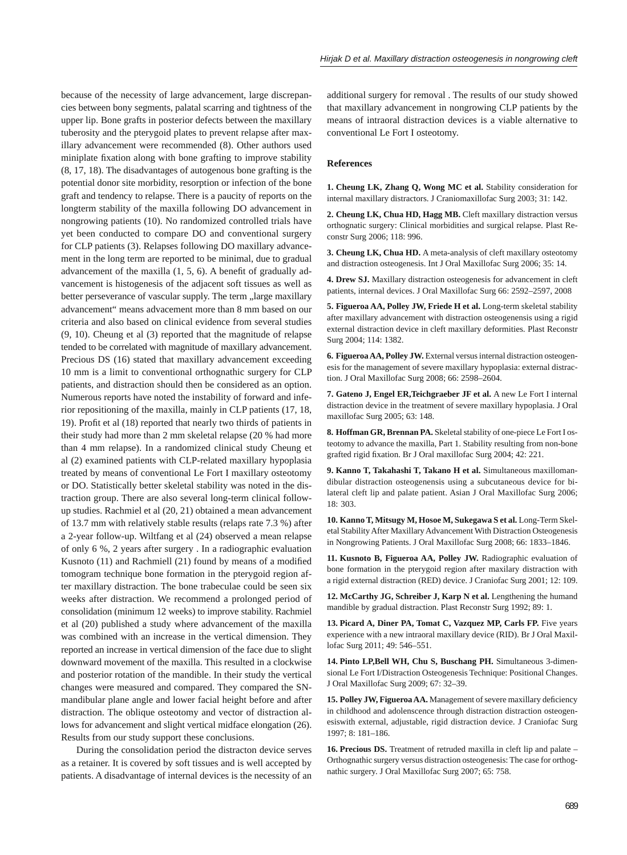because of the necessity of large advancement, large discrepancies between bony segments, palatal scarring and tightness of the upper lip. Bone grafts in posterior defects between the maxillary tuberosity and the pterygoid plates to prevent relapse after maxillary advancement were recommended (8). Other authors used miniplate fixation along with bone grafting to improve stability (8, 17, 18). The disadvantages of autogenous bone grafting is the potential donor site morbidity, resorption or infection of the bone graft and tendency to relapse. There is a paucity of reports on the longterm stability of the maxilla following DO advancement in nongrowing patients (10). No randomized controlled trials have yet been conducted to compare DO and conventional surgery for CLP patients (3). Relapses following DO maxillary advancement in the long term are reported to be minimal, due to gradual advancement of the maxilla  $(1, 5, 6)$ . A benefit of gradually advancement is histogenesis of the adjacent soft tissues as well as better perseverance of vascular supply. The term "large maxillary advancement" means advacement more than 8 mm based on our criteria and also based on clinical evidence from several studies (9, 10). Cheung et al (3) reported that the magnitude of relapse tended to be correlated with magnitude of maxillary advancement. Precious DS (16) stated that maxillary advancement exceeding 10 mm is a limit to conventional orthognathic surgery for CLP patients, and distraction should then be considered as an option. Numerous reports have noted the instability of forward and inferior repositioning of the maxilla, mainly in CLP patients (17, 18, 19). Profit et al (18) reported that nearly two thirds of patients in their study had more than 2 mm skeletal relapse (20 % had more than 4 mm relapse). In a randomized clinical study Cheung et al (2) examined patients with CLP-related maxillary hypoplasia treated by means of conventional Le Fort I maxillary osteotomy or DO. Statistically better skeletal stability was noted in the distraction group. There are also several long-term clinical followup studies. Rachmiel et al (20, 21) obtained a mean advancement of 13.7 mm with relatively stable results (relaps rate 7.3 %) after a 2-year follow-up. Wiltfang et al (24) observed a mean relapse of only 6 %, 2 years after surgery . In a radiographic evaluation Kusnoto  $(11)$  and Rachmiell  $(21)$  found by means of a modified tomogram technique bone formation in the pterygoid region after maxillary distraction. The bone trabeculae could be seen six weeks after distraction. We recommend a prolonged period of consolidation (minimum 12 weeks) to improve stability. Rachmiel et al (20) published a study where advancement of the maxilla was combined with an increase in the vertical dimension. They reported an increase in vertical dimension of the face due to slight downward movement of the maxilla. This resulted in a clockwise and posterior rotation of the mandible. In their study the vertical changes were measured and compared. They compared the SNmandibular plane angle and lower facial height before and after distraction. The oblique osteotomy and vector of distraction allows for advancement and slight vertical midface elongation (26). Results from our study support these conclusions.

During the consolidation period the distracton device serves as a retainer. It is covered by soft tissues and is well accepted by patients. A disadvantage of internal devices is the necessity of an

additional surgery for removal . The results of our study showed that maxillary advancement in nongrowing CLP patients by the means of intraoral distraction devices is a viable alternative to conventional Le Fort I osteotomy.

#### **References**

**1. Cheung LK, Zhang Q, Wong MC et al.** Stability consideration for internal maxillary distractors. J Craniomaxillofac Surg 2003; 31: 142.

**2. Cheung LK, Chua HD, Hagg MB.** Cleft maxillary distraction versus orthognatic surgery: Clinical morbidities and surgical relapse. Plast Reconstr Surg 2006; 118: 996.

**3. Cheung LK, Chua HD.** A meta-analysis of cleft maxillary osteotomy and distraction osteogenesis. Int J Oral Maxillofac Surg 2006; 35: 14.

**4. Drew SJ.** Maxillary distraction osteogenesis for advancement in cleft patients, internal devices. J Oral Maxillofac Surg 66: 2592–2597, 2008

**5. Figueroa AA, Polley JW, Friede H et al.** Long-term skeletal stability after maxillary advancement with distraction osteogenensis using a rigid external distraction device in cleft maxillary deformities. Plast Reconstr Surg 2004; 114: 1382.

**6. Figueroa AA, Polley JW.** External versus internal distraction osteogenesis for the management of severe maxillary hypoplasia: external distraction. J Oral Maxillofac Surg 2008; 66: 2598–2604.

**7. Gateno J, Engel ER,Teichgraeber JF et al.** A new Le Fort I internal distraction device in the treatment of severe maxillary hypoplasia. J Oral maxillofac Surg 2005; 63: 148.

**8. Hoffman GR, Brennan PA.** Skeletal stability of one-piece Le Fort I osteotomy to advance the maxilla, Part 1. Stability resulting from non-bone grafted rigid fixation. Br J Oral maxillofac Surg 2004; 42: 221.

**9. Kanno T, Takahashi T, Takano H et al.** Simultaneous maxillomandibular distraction osteogenensis using a subcutaneous device for bilateral cleft lip and palate patient. Asian J Oral Maxillofac Surg 2006; 18: 303.

**10. Kanno T, Mitsugy M, Hosoe M, Sukegawa S et al.** Long-Term Skeletal Stability After Maxillary Advancement With Distraction Osteogenesis in Nongrowing Patients. J Oral Maxillofac Surg 2008; 66: 1833–1846.

**11. Kusnoto B, Figueroa AA, Polley JW.** Radiographic evaluation of bone formation in the pterygoid region after maxilary distraction with a rigid external distraction (RED) device. J Craniofac Surg 2001; 12: 109.

12. McCarthy JG, Schreiber J, Karp N et al. Lengthening the humand mandible by gradual distraction. Plast Reconstr Surg 1992; 89: 1.

13. Picard A, Diner PA, Tomat C, Vazquez MP, Carls FP. Five years experience with a new intraoral maxillary device (RID). Br J Oral Maxillofac Surg 2011; 49: 546–551.

**14. Pinto LP,Bell WH, Chu S, Buschang PH.** Simultaneous 3-dimensional Le Fort I/Distraction Osteogenesis Technique: Positional Changes. J Oral Maxillofac Surg 2009; 67: 32–39.

15. Polley JW, Figueroa AA. Management of severe maxillary deficiency in childhood and adolenscence through distraction distraction osteogenesiswith external, adjustable, rigid distraction device. J Craniofac Surg 1997; 8: 181–186.

**16. Precious DS.** Treatment of retruded maxilla in cleft lip and palate – Orthognathic surgery versus distraction osteogenesis: The case for orthognathic surgery. J Oral Maxillofac Surg 2007; 65: 758.